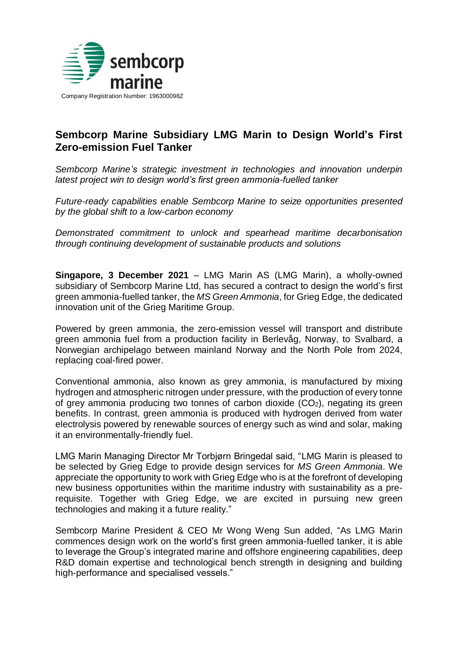

# **Sembcorp Marine Subsidiary LMG Marin to Design World's First Zero-emission Fuel Tanker**

*Sembcorp Marine's strategic investment in technologies and innovation underpin latest project win to design world's first green ammonia-fuelled tanker*

*Future-ready capabilities enable Sembcorp Marine to seize opportunities presented by the global shift to a low-carbon economy*

*Demonstrated commitment to unlock and spearhead maritime decarbonisation through continuing development of sustainable products and solutions*

**Singapore, 3 December 2021** – LMG Marin AS (LMG Marin), a wholly-owned subsidiary of Sembcorp Marine Ltd, has secured a contract to design the world's first green ammonia-fuelled tanker, the *MS Green Ammonia*, for Grieg Edge, the dedicated innovation unit of the Grieg Maritime Group.

Powered by green ammonia, the zero-emission vessel will transport and distribute green ammonia fuel from a production facility in Berlevåg, Norway, to Svalbard, a Norwegian archipelago between mainland Norway and the North Pole from 2024, replacing coal-fired power.

Conventional ammonia, also known as grey ammonia, is manufactured by mixing hydrogen and atmospheric nitrogen under pressure, with the production of every tonne of grey ammonia producing two tonnes of carbon dioxide  $(CO<sub>2</sub>)$ , negating its green benefits. In contrast, green ammonia is produced with hydrogen derived from water electrolysis powered by renewable sources of energy such as wind and solar, making it an environmentally-friendly fuel.

LMG Marin Managing Director Mr Torbjørn Bringedal said, "LMG Marin is pleased to be selected by Grieg Edge to provide design services for *MS Green Ammonia*. We appreciate the opportunity to work with Grieg Edge who is at the forefront of developing new business opportunities within the maritime industry with sustainability as a prerequisite. Together with Grieg Edge, we are excited in pursuing new green technologies and making it a future reality."

Sembcorp Marine President & CEO Mr Wong Weng Sun added, "As LMG Marin commences design work on the world's first green ammonia-fuelled tanker, it is able to leverage the Group's integrated marine and offshore engineering capabilities, deep R&D domain expertise and technological bench strength in designing and building high-performance and specialised vessels."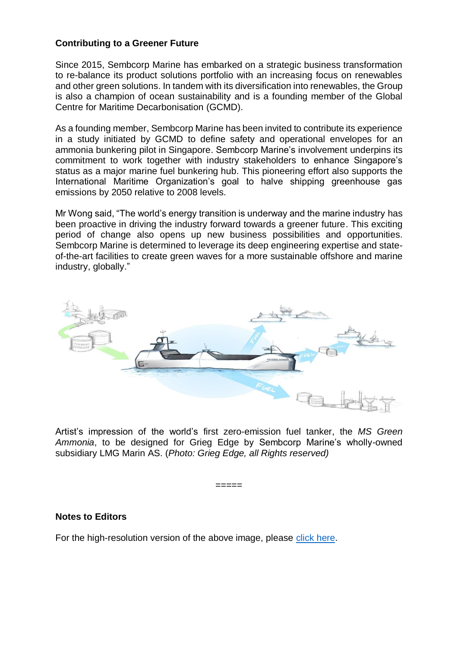# **Contributing to a Greener Future**

Since 2015, Sembcorp Marine has embarked on a strategic business transformation to re-balance its product solutions portfolio with an increasing focus on renewables and other green solutions. In tandem with its diversification into renewables, the Group is also a champion of ocean sustainability and is a founding member of the Global Centre for Maritime Decarbonisation (GCMD).

As a founding member, Sembcorp Marine has been invited to contribute its experience in a study initiated by GCMD to define safety and operational envelopes for an ammonia bunkering pilot in Singapore. Sembcorp Marine's involvement underpins its commitment to work together with industry stakeholders to enhance Singapore's status as a major marine fuel bunkering hub. This pioneering effort also supports the International Maritime Organization's goal to halve shipping greenhouse gas emissions by 2050 relative to 2008 levels.

Mr Wong said, "The world's energy transition is underway and the marine industry has been proactive in driving the industry forward towards a greener future. This exciting period of change also opens up new business possibilities and opportunities. Sembcorp Marine is determined to leverage its deep engineering expertise and stateof-the-art facilities to create green waves for a more sustainable offshore and marine industry, globally."



Artist's impression of the world's first zero-emission fuel tanker, the *MS Green Ammonia*, to be designed for Grieg Edge by Sembcorp Marine's wholly-owned subsidiary LMG Marin AS. (*Photo: Grieg Edge, all Rights reserved)*

=====

# **Notes to Editors**

For the high-resolution version of the above image, please [click here.](https://drive.google.com/file/d/1eiyphOcrcNyzttrQBovnvZaWwbA7M2Ro/view?usp=sharing)